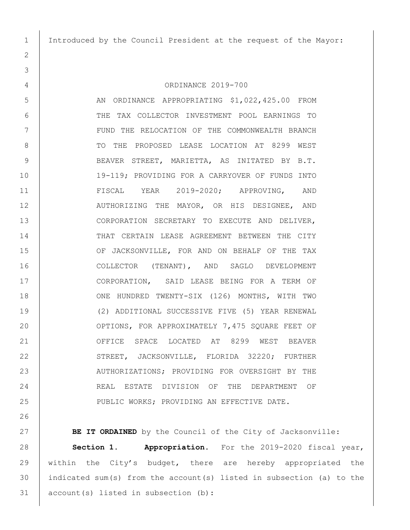Introduced by the Council President at the request of the Mayor:

## ORDINANCE 2019-700

5 AN ORDINANCE APPROPRIATING \$1,022,425.00 FROM THE TAX COLLECTOR INVESTMENT POOL EARNINGS TO 7 | TUND THE RELOCATION OF THE COMMONWEALTH BRANCH 8 | TO THE PROPOSED LEASE LOCATION AT 8299 WEST 9 | BEAVER STREET, MARIETTA, AS INITATED BY B.T. 19-119; PROVIDING FOR A CARRYOVER OF FUNDS INTO FISCAL YEAR 2019-2020; APPROVING, AND 12 | AUTHORIZING THE MAYOR, OR HIS DESIGNEE, AND CORPORATION SECRETARY TO EXECUTE AND DELIVER, 14 THAT CERTAIN LEASE AGREEMENT BETWEEN THE CITY 15 OF JACKSONVILLE, FOR AND ON BEHALF OF THE TAX COLLECTOR (TENANT), AND SAGLO DEVELOPMENT CORPORATION, SAID LEASE BEING FOR A TERM OF ONE HUNDRED TWENTY-SIX (126) MONTHS, WITH TWO (2) ADDITIONAL SUCCESSIVE FIVE (5) YEAR RENEWAL OPTIONS, FOR APPROXIMATELY 7,475 SQUARE FEET OF OFFICE SPACE LOCATED AT 8299 WEST BEAVER 22 STREET, JACKSONVILLE, FLORIDA 32220; FURTHER 23 | AUTHORIZATIONS; PROVIDING FOR OVERSIGHT BY THE 24 REAL ESTATE DIVISION OF THE DEPARTMENT OF 25 PUBLIC WORKS; PROVIDING AN EFFECTIVE DATE.

**BE IT ORDAINED** by the Council of the City of Jacksonville: **Section 1. Appropriation.** For the 2019-2020 fiscal year, within the City's budget, there are hereby appropriated the indicated sum(s) from the account(s) listed in subsection (a) to the account(s) listed in subsection (b):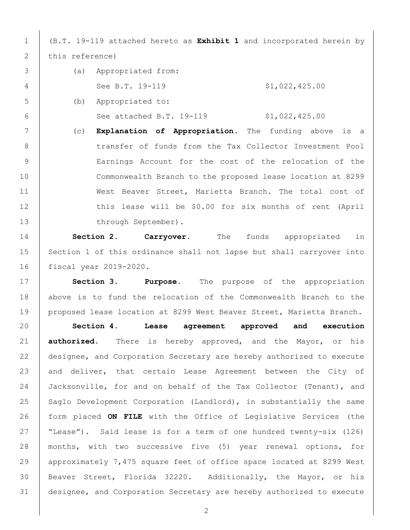(B.T. 19-119 attached hereto as **Exhibit 1** and incorporated herein by 2 this reference)

- (a) Appropriated from: 4 See B.T. 19-119 \$1,022,425.00 (b) Appropriated to:
- See attached B.T. 19-119 \$1,022,425.00
- (c) **Explanation of Appropriation.** The funding above is a 8 | transfer of funds from the Tax Collector Investment Pool Earnings Account for the cost of the relocation of the Commonwealth Branch to the proposed lease location at 8299 11 West Beaver Street, Marietta Branch. The total cost of 12 this lease will be \$0.00 for six months of rent (April 13 through September).

 **Section 2. Carryover.** The funds appropriated in 15 Section 1 of this ordinance shall not lapse but shall carryover into fiscal year 2019-2020.

 **Section 3**. **Purpose.** The purpose of the appropriation 18 above is to fund the relocation of the Commonwealth Branch to the 19 proposed lease location at 8299 West Beaver Street, Marietta Branch.

 **Section 4. Lease agreement approved and execution authorized.** There is hereby approved, and the Mayor, or his designee, and Corporation Secretary are hereby authorized to execute 23 and deliver, that certain Lease Agreement between the City of Jacksonville, for and on behalf of the Tax Collector (Tenant), and 25 Saglo Development Corporation (Landlord), in substantially the same form placed **ON FILE** with the Office of Legislative Services (the "Lease"). Said lease is for a term of one hundred twenty-six (126) months, with two successive five (5) year renewal options, for approximately 7,475 square feet of office space located at 8299 West Beaver Street, Florida 32220. Additionally, the Mayor, or his designee, and Corporation Secretary are hereby authorized to execute